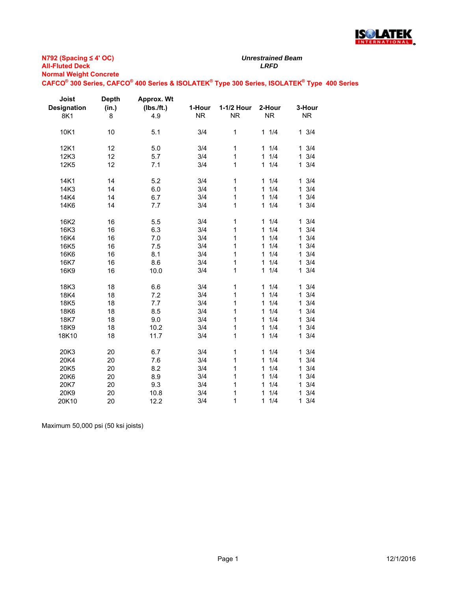

**N792 (Spacing ≤ 4' OC) All-Fluted Deck** *LRFD* **Normal Weight Concrete**

**CAFCO® 300 Series, CAFCO® 400 Series & ISOLATEK® Type 300 Series, ISOLATEK® Type 400 Series**

| Joist              | <b>Depth</b> | Approx. Wt |           |              |                     |                     |
|--------------------|--------------|------------|-----------|--------------|---------------------|---------------------|
| <b>Designation</b> | (in.)        | (Ibs./ft.) | 1-Hour    | 1-1/2 Hour   | 2-Hour              | 3-Hour              |
| 8K1                | 8            | 4.9        | <b>NR</b> | <b>NR</b>    | <b>NR</b>           | <b>NR</b>           |
| 10K1               | 10           | 5.1        | 3/4       | 1            | 11/4                | $1 \frac{3}{4}$     |
| 12K1               | 12           | 5.0        | 3/4       | 1            | 11/4                | $1 \frac{3}{4}$     |
| 12K3               | 12           | 5.7        | 3/4       | 1            | 1/4<br>$\mathbf{1}$ | 3/4<br>$\mathbf{1}$ |
| 12K <sub>5</sub>   | 12           | 7.1        | 3/4       | $\mathbf{1}$ | 1/4<br>$\mathbf{1}$ | 3/4<br>$\mathbf{1}$ |
| 14K1               | 14           | 5.2        | 3/4       | 1            | 1/4<br>$\mathbf{1}$ | $1 \t3/4$           |
| 14K3               | 14           | 6.0        | 3/4       | $\mathbf{1}$ | 1/4<br>$\mathbf{1}$ | 3/4<br>$\mathbf 1$  |
| 14K4               | 14           | 6.7        | 3/4       | 1            | 1/4<br>$\mathbf{1}$ | 3/4<br>$\mathbf{1}$ |
| 14K6               | 14           | 7.7        | 3/4       | $\mathbf{1}$ | 1/4<br>$\mathbf{1}$ | 3/4<br>$\mathbf{1}$ |
| 16K2               | 16           | 5.5        | 3/4       | 1            | 1/4<br>$\mathbf{1}$ | $1 \frac{3}{4}$     |
| 16K3               | 16           | 6.3        | 3/4       | $\mathbf{1}$ | 1/4<br>$\mathbf{1}$ | 3/4<br>1            |
| 16K4               | 16           | 7.0        | 3/4       | $\mathbf{1}$ | 1/4<br>$\mathbf{1}$ | 3/4<br>$\mathbf{1}$ |
| 16K <sub>5</sub>   | 16           | 7.5        | 3/4       | 1            | 1/4<br>$\mathbf{1}$ | 3/4<br>1            |
| 16K6               | 16           | 8.1        | 3/4       | 1            | 1/4<br>$\mathbf{1}$ | 3/4<br>1            |
| 16K7               | 16           | 8.6        | 3/4       | 1            | 1/4<br>$\mathbf{1}$ | 3/4<br>1            |
| 16K9               | 16           | 10.0       | 3/4       | 1            | 1/4<br>$\mathbf{1}$ | 3/4<br>1            |
| 18K3               | 18           | 6.6        | 3/4       | 1            | 11/4                | $1 \frac{3}{4}$     |
| 18K4               | 18           | 7.2        | 3/4       | 1            | 1/4<br>$\mathbf{1}$ | 3/4<br>1            |
| 18K5               | 18           | 7.7        | 3/4       | $\mathbf{1}$ | 1/4<br>$\mathbf{1}$ | 3/4<br>1            |
| 18K6               | 18           | 8.5        | 3/4       | 1            | 1/4<br>$\mathbf{1}$ | 3/4<br>$\mathbf{1}$ |
| 18K7               | 18           | 9.0        | 3/4       | 1            | 1/4<br>$\mathbf{1}$ | 3/4<br>$\mathbf{1}$ |
| 18K9               | 18           | 10.2       | 3/4       | 1            | 1/4<br>$\mathbf{1}$ | 3/4<br>$\mathbf 1$  |
| 18K10              | 18           | 11.7       | 3/4       | 1            | 1/4<br>$\mathbf{1}$ | 3/4<br>$\mathbf{1}$ |
| 20K3               | 20           | 6.7        | 3/4       | 1            | 1/4<br>$\mathbf{1}$ | $1 \t3/4$           |
| 20K4               | 20           | 7.6        | 3/4       | 1            | 1/4<br>$\mathbf{1}$ | 3/4<br>$\mathbf{1}$ |
| 20K5               | 20           | 8.2        | 3/4       | 1            | 1/4<br>1            | 3/4<br>1            |
| 20K6               | 20           | 8.9        | 3/4       | 1            | 1/4<br>$\mathbf{1}$ | 3/4<br>1            |
| 20K7               | 20           | 9.3        | 3/4       | 1            | 1/4<br>$\mathbf{1}$ | 3/4<br>1            |
| 20K9               | 20           | 10.8       | 3/4       | 1            | 1/4<br>$\mathbf{1}$ | 3/4<br>$\mathbf{1}$ |
| 20K10              | 20           | 12.2       | 3/4       | 1            | 1/4<br>1            | 3/4<br>1            |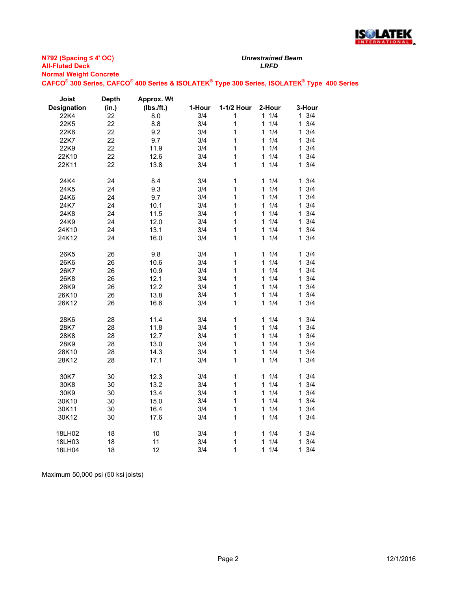

| Joist              | Depth | Approx. Wt |        |              |                     |                     |
|--------------------|-------|------------|--------|--------------|---------------------|---------------------|
| <b>Designation</b> | (in.) | (Ibs./ft.) | 1-Hour | 1-1/2 Hour   | 2-Hour              | 3-Hour              |
| 22K4               | 22    | 8.0        | 3/4    | 1            | 11/4                | $1 \frac{3}{4}$     |
| 22K5               | 22    | 8.8        | 3/4    | 1            | 1/4<br>1            | 3/4<br>$\mathbf{1}$ |
| 22K6               | 22    | 9.2        | 3/4    | 1            | 1/4<br>1            | 3/4<br>1            |
| 22K7               | 22    | 9.7        | 3/4    | 1            | 1/4<br>1            | 3/4<br>$\mathbf{1}$ |
| 22K9               | 22    | 11.9       | 3/4    | 1            | 1/4<br>1            | 3/4<br>1            |
| 22K10              | 22    | 12.6       | 3/4    | 1            | 1/4<br>1            | 3/4<br>1            |
| 22K11              | 22    | 13.8       | 3/4    | 1            | 1/4<br>1            | 3/4<br>1.           |
| 24K4               | 24    | 8.4        | 3/4    | $\mathbf 1$  | 1/4<br>1            | 3/4<br>1            |
| 24K5               | 24    | 9.3        | 3/4    | 1            | 1/4<br>1            | 3/4<br>1            |
| 24K6               | 24    | 9.7        | 3/4    | 1            | 1/4<br>1            | 3/4<br>1.           |
| 24K7               | 24    | 10.1       | 3/4    | 1            | 1/4<br>1            | 3/4<br>$\mathbf{1}$ |
| 24K8               | 24    | 11.5       | 3/4    | 1            | 1/4<br>1            | 3/4<br>$\mathbf{1}$ |
| 24K9               | 24    | 12.0       | 3/4    | 1            | 1/4<br>1            | 3/4<br>$\mathbf{1}$ |
| 24K10              | 24    | 13.1       | 3/4    | 1            | 1/4<br>1            | 3/4<br>1            |
| 24K12              | 24    | 16.0       | 3/4    | 1            | 1/4<br>$\mathbf{1}$ | 3/4<br>$\mathbf{1}$ |
| 26K5               | 26    | 9.8        | 3/4    | 1            | 1/4<br>1            | 3/4<br>1.           |
| 26K6               | 26    | 10.6       | 3/4    | 1            | 1/4<br>$\mathbf{1}$ | 3/4<br>$\mathbf{1}$ |
| 26K7               | 26    | 10.9       | 3/4    | 1            | 1/4<br>1            | 3/4<br>1            |
| 26K8               | 26    | 12.1       | 3/4    | 1            | 1/4<br>1            | 3/4<br>$\mathbf{1}$ |
| 26K9               | 26    | 12.2       | 3/4    | $\mathbf{1}$ | 1/4<br>1            | 3/4<br>1            |
| 26K10              | 26    | 13.8       | 3/4    | 1            | 1/4<br>1            | 3/4<br>$\mathbf{1}$ |
| 26K12              | 26    | 16.6       | 3/4    | 1            | 1/4<br>1            | 3/4<br>$\mathbf{1}$ |
| 28K6               | 28    | 11.4       | 3/4    | 1            | 1/4<br>1            | 3/4<br>1            |
| 28K7               | 28    | 11.8       | 3/4    | 1            | 1/4<br>$\mathbf{1}$ | 3/4<br>$\mathbf{1}$ |
| 28K8               | 28    | 12.7       | 3/4    | 1            | 1/4<br>1            | 3/4<br>1            |
| 28K9               | 28    | 13.0       | 3/4    | 1            | 1/4<br>1            | 3/4<br>1            |
| 28K10              | 28    | 14.3       | 3/4    | 1            | 1/4<br>1            | 3/4<br>1            |
| 28K12              | 28    | 17.1       | 3/4    | 1            | 1/4<br>1            | 3/4<br>1            |
| 30K7               | 30    | 12.3       | 3/4    | 1            | 1/4<br>1            | 3/4<br>$\mathbf 1$  |
| 30K8               | 30    | 13.2       | 3/4    | 1            | 1/4<br>$\mathbf{1}$ | 3/4<br>$\mathbf{1}$ |
| 30K9               | 30    | 13.4       | 3/4    | 1            | 1/4<br>1            | 3/4<br>1            |
| 30K10              | 30    | 15.0       | 3/4    | 1            | 1/4<br>$\mathbf{1}$ | 3/4<br>$\mathbf{1}$ |
| 30K11              | 30    | 16.4       | 3/4    | 1            | 1/4<br>1            | 3/4<br>1            |
| 30K12              | 30    | 17.6       | 3/4    | $\mathbf{1}$ | 1/4<br>1            | 3/4<br>1.           |
| 18LH02             | 18    | 10         | 3/4    | 1            | 1/4<br>1            | 3/4<br>1            |
| 18LH03             | 18    | 11         | 3/4    | 1            | 1/4<br>1            | 3/4<br>1            |
| 18LH04             | 18    | 12         | 3/4    | 1            | 1/4<br>1            | 3/4<br>1            |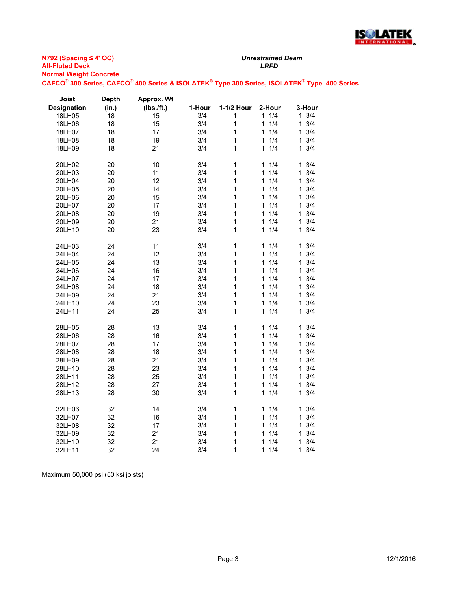

| Joist              | <b>Depth</b> | Approx. Wt |        |              |          |                     |
|--------------------|--------------|------------|--------|--------------|----------|---------------------|
| <b>Designation</b> | (in.)        | (Ibs./ft.) | 1-Hour | 1-1/2 Hour   | 2-Hour   | 3-Hour              |
| 18LH05             | 18           | 15         | 3/4    | 1            | 1<br>1/4 | $1 \frac{3}{4}$     |
| 18LH06             | 18           | 15         | 3/4    | 1            | 1/4<br>1 | 3/4<br>1            |
| 18LH07             | 18           | 17         | 3/4    | 1            | 1/4<br>1 | 3/4<br>1            |
| 18LH08             | 18           | 19         | 3/4    | 1            | 1/4<br>1 | 3/4<br>1            |
| 18LH09             | 18           | 21         | 3/4    | 1            | 1/4<br>1 | 3/4<br>$\mathbf 1$  |
| 20LH02             | 20           | 10         | 3/4    | 1            | 1/4<br>1 | 3/4<br>1            |
| 20LH03             | 20           | 11         | 3/4    | 1            | 1/4<br>1 | 3/4<br>1            |
| 20LH04             | 20           | 12         | 3/4    | 1            | 1/4<br>1 | 3/4<br>1            |
| 20LH05             | 20           | 14         | 3/4    | 1            | 1/4<br>1 | 3/4<br>1            |
| 20LH06             | 20           | 15         | 3/4    | 1            | 1/4<br>1 | 3/4<br>1            |
| 20LH07             | 20           | 17         | 3/4    | 1            | 1/4<br>1 | 3/4<br>1            |
| 20LH08             | 20           | 19         | 3/4    | 1            | 1/4<br>1 | 3/4<br>$\mathbf{1}$ |
| 20LH09             | 20           | 21         | 3/4    | 1            | 1<br>1/4 | 3/4<br>1            |
| 20LH10             | 20           | 23         | 3/4    | 1            | 1/4<br>1 | 3/4<br>1            |
| 24LH03             | 24           | 11         | 3/4    | $\mathbf{1}$ | 1/4<br>1 | $1 \t3/4$           |
| 24LH04             | 24           | 12         | 3/4    | 1            | 1/4<br>1 | 3/4<br>1            |
| 24LH05             | 24           | 13         | 3/4    | 1            | 1<br>1/4 | 3/4<br>1            |
| 24LH06             | 24           | 16         | 3/4    | 1            | 1/4<br>1 | 3/4<br>1            |
| 24LH07             | 24           | 17         | 3/4    | 1            | 1/4<br>1 | 3/4<br>1            |
| 24LH08             | 24           | 18         | 3/4    | 1            | 1/4<br>1 | 3/4<br>1            |
| 24LH09             | 24           | 21         | 3/4    | 1            | 1/4<br>1 | 3/4<br>1            |
| 24LH10             | 24           | 23         | 3/4    | 1            | 1/4<br>1 | 3/4<br>1            |
| 24LH11             | 24           | 25         | 3/4    | 1            | 1/4<br>1 | 3/4<br>1            |
| 28LH05             | 28           | 13         | 3/4    | 1            | 1/4<br>1 | 3/4<br>1            |
| 28LH06             | 28           | 16         | 3/4    | 1            | 1/4<br>1 | 3/4<br>1            |
| 28LH07             | 28           | 17         | 3/4    | 1            | 1<br>1/4 | $\mathbf{1}$<br>3/4 |
| 28LH08             | 28           | 18         | 3/4    | 1            | 1/4<br>1 | 3/4<br>1            |
| 28LH09             | 28           | 21         | 3/4    | 1            | 1/4<br>1 | 3/4<br>1            |
| 28LH10             | 28           | 23         | 3/4    | 1            | 1/4<br>1 | 3/4<br>1            |
| 28LH11             | 28           | 25         | 3/4    | 1            | 1/4<br>1 | 3/4<br>1            |
| 28LH12             | 28           | 27         | 3/4    | 1            | 1/4<br>1 | 3/4<br>1            |
| 28LH13             | 28           | 30         | 3/4    | 1            | 1/4<br>1 | 3/4<br>1            |
| 32LH06             | 32           | 14         | 3/4    | 1            | 1<br>1/4 | $1 \t3/4$           |
| 32LH07             | 32           | 16         | 3/4    | 1            | 1/4<br>1 | 3/4<br>1            |
| 32LH08             | 32           | 17         | 3/4    | 1            | 1/4<br>1 | 3/4<br>1            |
| 32LH09             | 32           | 21         | 3/4    | 1            | 1/4<br>1 | 3/4<br>1            |
| 32LH10             | 32           | 21         | 3/4    | 1            | 1/4<br>1 | 3/4<br>1            |
| 32LH11             | 32           | 24         | 3/4    | 1            | 1/4<br>1 | 3/4<br>1            |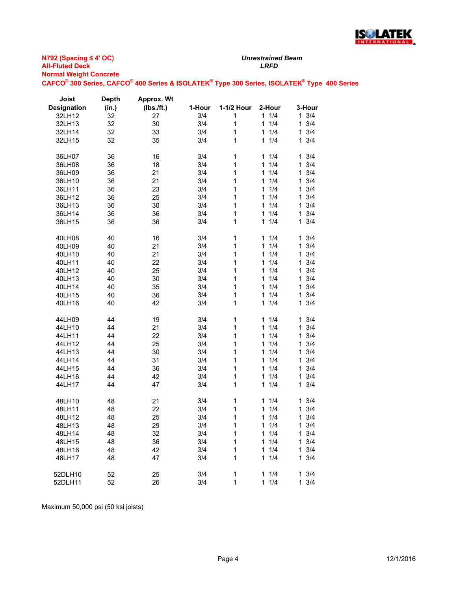

| Joist              | <b>Depth</b> | Approx. Wt |        |            |                     |          |
|--------------------|--------------|------------|--------|------------|---------------------|----------|
| <b>Designation</b> | (in.)        | (Ibs./ft.) | 1-Hour | 1-1/2 Hour | 2-Hour              | 3-Hour   |
| 32LH12             | 32           | 27         | 3/4    | 1          | 1/4<br>1            | 3/4<br>1 |
| 32LH13             | 32           | 30         | 3/4    | 1          | 1/4<br>1            | 3/4<br>1 |
| 32LH14             | 32           | 33         | 3/4    | 1          | 1/4<br>1            | 3/4<br>1 |
| 32LH15             | 32           | 35         | 3/4    | 1          | 1/4<br>$\mathbf{1}$ | 3/4<br>1 |
|                    |              |            |        |            |                     |          |
| 36LH07             | 36           | 16         | 3/4    | 1          | 1/4<br>1            | 3/4<br>1 |
| 36LH08             | 36           | 18         | 3/4    | 1          | 1/4<br>1            | 3/4<br>1 |
| 36LH09             | 36           | 21         | 3/4    | 1          | 1/4<br>1            | 3/4<br>1 |
| 36LH10             | 36           | 21         | 3/4    | 1          | 1<br>1/4            | 1<br>3/4 |
| 36LH11             | 36           | 23         | 3/4    | 1          | 1/4<br>1            | 3/4<br>1 |
|                    |              |            |        | 1          | 1/4<br>1            | 3/4<br>1 |
| 36LH12             | 36           | 25         | 3/4    |            | 1/4<br>1            | 3/4      |
| 36LH13             | 36           | 30         | 3/4    | 1          | 1/4                 | 1        |
| 36LH14             | 36           | 36         | 3/4    | 1          | 1                   | 3/4<br>1 |
| 36LH15             | 36           | 36         | 3/4    | 1          | 1/4<br>1            | 3/4<br>1 |
|                    |              |            |        |            |                     |          |
| 40LH08             | 40           | 16         | 3/4    | 1          | 1/4<br>1            | 3/4<br>1 |
| 40LH09             | 40           | 21         | 3/4    | 1          | 1<br>1/4            | 3/4<br>1 |
| 40LH10             | 40           | 21         | 3/4    | 1          | 1/4<br>1            | 3/4<br>1 |
| 40LH11             | 40           | 22         | 3/4    | 1          | 1/4<br>1            | 3/4<br>1 |
| 40LH12             | 40           | 25         | 3/4    | 1          | 1/4<br>1            | 3/4<br>1 |
| 40LH13             | 40           | 30         | 3/4    | 1          | 1/4<br>1            | 3/4<br>1 |
| 40LH14             | 40           | 35         | 3/4    | 1          | 1/4<br>1            | 3/4<br>1 |
| 40LH15             | 40           | 36         | 3/4    | 1          | 1/4<br>1            | 3/4<br>1 |
| 40LH16             | 40           | 42         | 3/4    | 1          | 1/4<br>1            | 3/4<br>1 |
|                    |              |            |        |            |                     |          |
| 44LH09             | 44           | 19         | 3/4    | 1          | 1<br>1/4            | 3/4<br>1 |
| 44LH10             | 44           | 21         | 3/4    | 1          | 1/4<br>1            | 3/4<br>1 |
| 44LH11             | 44           | 22         | 3/4    | 1          | 1/4<br>1            | 3/4<br>1 |
| 44LH12             | 44           | 25         | 3/4    | 1          | 1/4<br>1            | 3/4<br>1 |
| 44LH13             | 44           | 30         | 3/4    | 1          | 1/4<br>1            | 3/4<br>1 |
| 44LH14             | 44           | 31         | 3/4    | 1          | 1/4<br>1            | 3/4<br>1 |
| 44LH15             | 44           | 36         | 3/4    | 1          | 1<br>1/4            | 3/4<br>1 |
| 44LH16             | 44           | 42         | 3/4    | 1          | 1/4<br>1            | 3/4<br>1 |
| 44LH17             | 44           | 47         | 3/4    | 1          | 1/4<br>1            | 3/4<br>1 |
|                    |              |            |        |            |                     |          |
| 48LH10             | 48           | 21         | 3/4    | 1          | 1/4<br>1            | 3/4<br>1 |
| 48LH11             | 48           | 22         | 3/4    | 1          | 1/4<br>1            | 3/4<br>1 |
| 48LH12             | 48           | 25         | 3/4    | 1          | 1/4<br>1            | 3/4<br>1 |
| 48LH13             | 48           | 29         | 3/4    | 1          | 1/4<br>1            | 3/4<br>1 |
| 48LH14             | 48           | 32         | 3/4    | 1          | 1/4<br>1            | 3/4<br>1 |
|                    |              |            |        |            | 1                   | 3/4<br>1 |
| 48LH15             | 48           | 36         | 3/4    | 1          | 1/4                 | 1        |
| 48LH16             | 48           | 42         | 3/4    | 1          | 1/4<br>1            | 3/4      |
| 48LH17             | 48           | 47         | 3/4    | 1          | 1/4<br>1            | 3/4<br>1 |
|                    |              |            |        |            |                     |          |
| 52DLH10            | 52           | 25         | 3/4    | 1          | $\mathbf{1}$<br>1/4 | 1<br>3/4 |
| 52DLH11            | 52           | 26         | 3/4    | 1          | $\mathbf{1}$<br>1/4 | 1<br>3/4 |